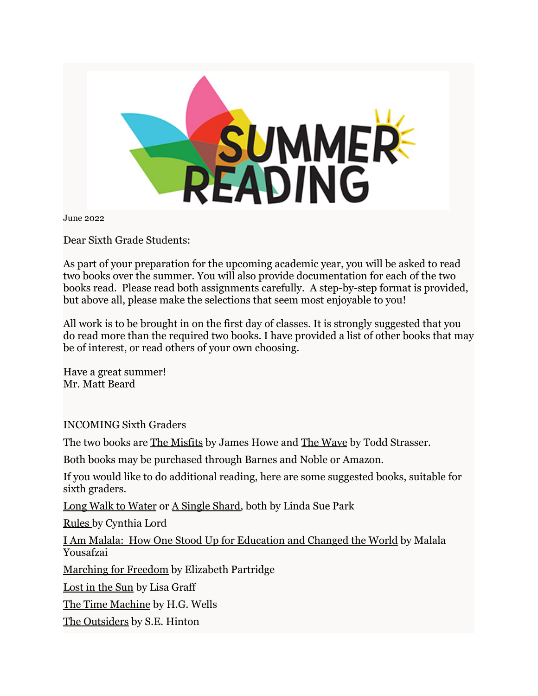

June 2022

Dear Sixth Grade Students:

As part of your preparation for the upcoming academic year, you will be asked to read two books over the summer. You will also provide documentation for each of the two books read. Please read both assignments carefully. A step-by-step format is provided, but above all, please make the selections that seem most enjoyable to you!

All work is to be brought in on the first day of classes. It is strongly suggested that you do read more than the required two books. I have provided a list of other books that may be of interest, or read others of your own choosing.

Have a great summer! Mr. Matt Beard

INCOMING Sixth Graders

The two books are <u>The Misfits</u> by James Howe and <u>The Wave</u> by Todd Strasser.

Both books may be purchased through Barnes and Noble or Amazon.

If you would like to do additional reading, here are some suggested books, suitable for sixth graders.

Long Walk to Water or A Single Shard, both by Linda Sue Park

Rules by Cynthia Lord

I Am Malala: How One Stood Up for Education and Changed the World by Malala Yousafzai

Marching for Freedom by Elizabeth Partridge

Lost in the Sun by Lisa Graff

The Time Machine by H.G. Wells

The Outsiders by S.E. Hinton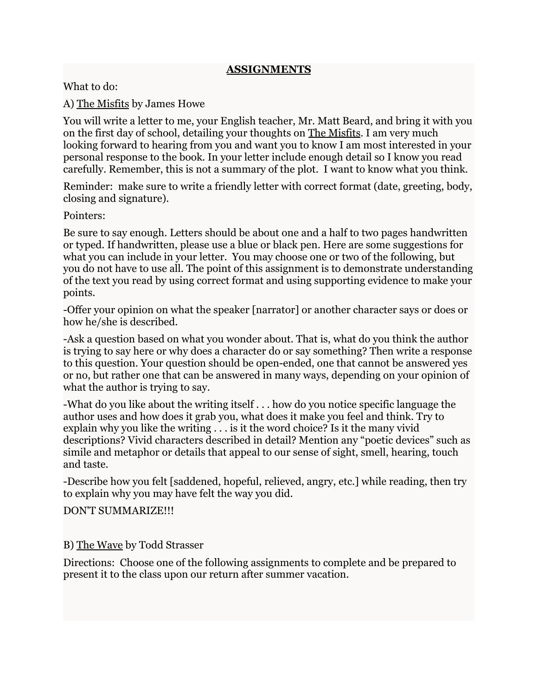## **ASSIGNMENTS**

What to do:

A) The Misfits by James Howe

You will write a letter to me, your English teacher, Mr. Matt Beard, and bring it with you on the first day of school, detailing your thoughts on The Misfits. I am very much looking forward to hearing from you and want you to know I am most interested in your personal response to the book. In your letter include enough detail so I know you read carefully. Remember, this is not a summary of the plot. I want to know what you think.

Reminder: make sure to write a friendly letter with correct format (date, greeting, body, closing and signature).

Pointers:

Be sure to say enough. Letters should be about one and a half to two pages handwritten or typed. If handwritten, please use a blue or black pen. Here are some suggestions for what you can include in your letter. You may choose one or two of the following, but you do not have to use all. The point of this assignment is to demonstrate understanding of the text you read by using correct format and using supporting evidence to make your points.

-Offer your opinion on what the speaker [narrator] or another character says or does or how he/she is described.

-Ask a question based on what you wonder about. That is, what do you think the author is trying to say here or why does a character do or say something? Then write a response to this question. Your question should be open-ended, one that cannot be answered yes or no, but rather one that can be answered in many ways, depending on your opinion of what the author is trying to say.

-What do you like about the writing itself . . . how do you notice specific language the author uses and how does it grab you, what does it make you feel and think. Try to explain why you like the writing . . . is it the word choice? Is it the many vivid descriptions? Vivid characters described in detail? Mention any "poetic devices" such as simile and metaphor or details that appeal to our sense of sight, smell, hearing, touch and taste.

-Describe how you felt [saddened, hopeful, relieved, angry, etc.] while reading, then try to explain why you may have felt the way you did.

DON'T SUMMARIZE!!!

B) The Wave by Todd Strasser

Directions: Choose one of the following assignments to complete and be prepared to present it to the class upon our return after summer vacation.